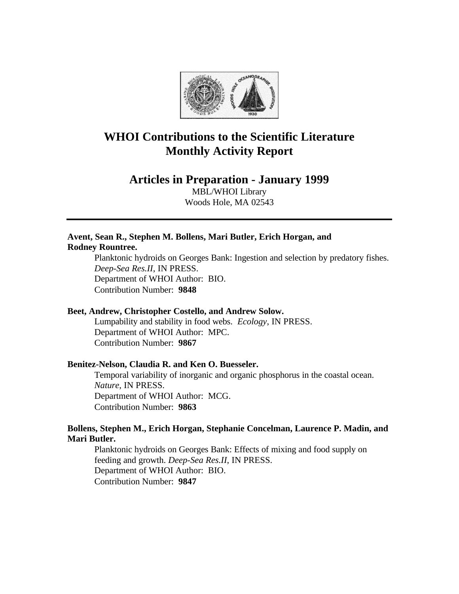

# **WHOI Contributions to the Scientific Literature Monthly Activity Report**

## **Articles in Preparation - January 1999**

MBL/WHOI Library Woods Hole, MA 02543

## **Avent, Sean R., Stephen M. Bollens, Mari Butler, Erich Horgan, and Rodney Rountree.**

Planktonic hydroids on Georges Bank: Ingestion and selection by predatory fishes. *Deep-Sea Res.II*, IN PRESS. Department of WHOI Author: BIO. Contribution Number: **9848**

## **Beet, Andrew, Christopher Costello, and Andrew Solow.**

Lumpability and stability in food webs. *Ecology*, IN PRESS. Department of WHOI Author: MPC. Contribution Number: **9867**

## **Benitez-Nelson, Claudia R. and Ken O. Buesseler.**

Temporal variability of inorganic and organic phosphorus in the coastal ocean. *Nature*, IN PRESS. Department of WHOI Author: MCG. Contribution Number: **9863**

## **Bollens, Stephen M., Erich Horgan, Stephanie Concelman, Laurence P. Madin, and Mari Butler.**

Planktonic hydroids on Georges Bank: Effects of mixing and food supply on feeding and growth. *Deep-Sea Res.II*, IN PRESS. Department of WHOI Author: BIO. Contribution Number: **9847**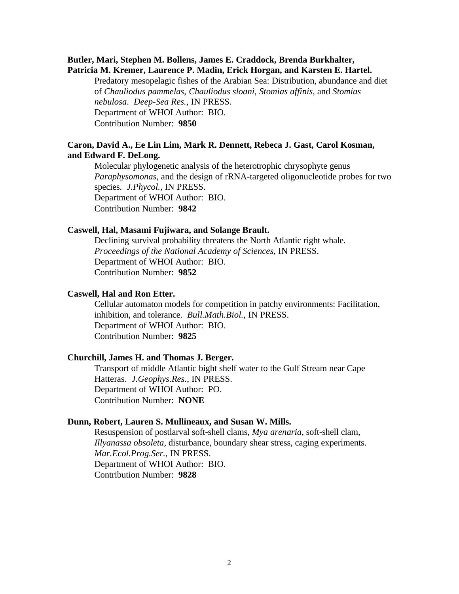## **Butler, Mari, Stephen M. Bollens, James E. Craddock, Brenda Burkhalter, Patricia M. Kremer, Laurence P. Madin, Erick Horgan, and Karsten E. Hartel.**

Predatory mesopelagic fishes of the Arabian Sea: Distribution, abundance and diet of *Chauliodus pammelas*, *Chauliodus sloani*, *Stomias affinis*, and *Stomias nebulosa*. *Deep-Sea Res.*, IN PRESS. Department of WHOI Author: BIO. Contribution Number: **9850**

## **Caron, David A., Ee Lin Lim, Mark R. Dennett, Rebeca J. Gast, Carol Kosman, and Edward F. DeLong.**

Molecular phylogenetic analysis of the heterotrophic chrysophyte genus *Paraphysomonas*, and the design of rRNA-targeted oligonucleotide probes for two species. *J.Phycol.*, IN PRESS. Department of WHOI Author: BIO. Contribution Number: **9842**

#### **Caswell, Hal, Masami Fujiwara, and Solange Brault.**

Declining survival probability threatens the North Atlantic right whale. *Proceedings of the National Academy of Sciences*, IN PRESS. Department of WHOI Author: BIO. Contribution Number: **9852**

#### **Caswell, Hal and Ron Etter.**

Cellular automaton models for competition in patchy environments: Facilitation, inhibition, and tolerance. *Bull.Math.Biol.*, IN PRESS. Department of WHOI Author: BIO. Contribution Number: **9825**

#### **Churchill, James H. and Thomas J. Berger.**

Transport of middle Atlantic bight shelf water to the Gulf Stream near Cape Hatteras. *J.Geophys.Res.*, IN PRESS. Department of WHOI Author: PO. Contribution Number: **NONE**

#### **Dunn, Robert, Lauren S. Mullineaux, and Susan W. Mills.**

Resuspension of postlarval soft-shell clams, *Mya arenaria*, soft-shell clam, *Illyanassa obsoleta*, disturbance, boundary shear stress, caging experiments. *Mar.Ecol.Prog.Ser.*, IN PRESS. Department of WHOI Author: BIO. Contribution Number: **9828**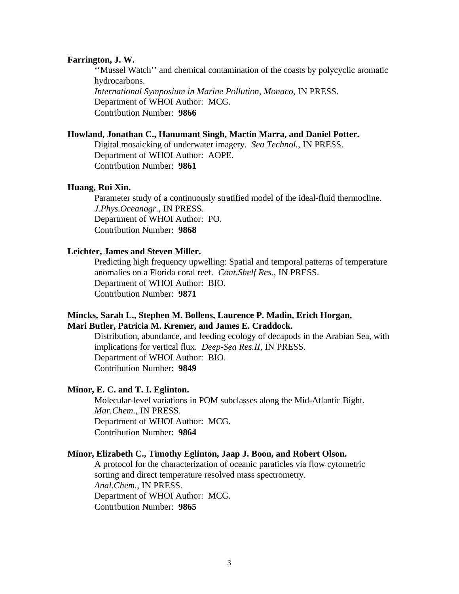#### **Farrington, J. W.**

''Mussel Watch'' and chemical contamination of the coasts by polycyclic aromatic hydrocarbons. *International Symposium in Marine Pollution, Monaco*, IN PRESS. Department of WHOI Author: MCG. Contribution Number: **9866**

#### **Howland, Jonathan C., Hanumant Singh, Martin Marra, and Daniel Potter.**

Digital mosaicking of underwater imagery. *Sea Technol.*, IN PRESS. Department of WHOI Author: AOPE. Contribution Number: **9861**

#### **Huang, Rui Xin.**

Parameter study of a continuously stratified model of the ideal-fluid thermocline. *J.Phys.Oceanogr.*, IN PRESS. Department of WHOI Author: PO. Contribution Number: **9868**

## **Leichter, James and Steven Miller.**

Predicting high frequency upwelling: Spatial and temporal patterns of temperature anomalies on a Florida coral reef. *Cont.Shelf Res.*, IN PRESS. Department of WHOI Author: BIO. Contribution Number: **9871**

## **Mincks, Sarah L., Stephen M. Bollens, Laurence P. Madin, Erich Horgan, Mari Butler, Patricia M. Kremer, and James E. Craddock.**

Distribution, abundance, and feeding ecology of decapods in the Arabian Sea, with implications for vertical flux. *Deep-Sea Res.II*, IN PRESS. Department of WHOI Author: BIO. Contribution Number: **9849**

#### **Minor, E. C. and T. I. Eglinton.**

Molecular-level variations in POM subclasses along the Mid-Atlantic Bight. *Mar.Chem.*, IN PRESS. Department of WHOI Author: MCG. Contribution Number: **9864**

## **Minor, Elizabeth C., Timothy Eglinton, Jaap J. Boon, and Robert Olson.**

A protocol for the characterization of oceanic paraticles via flow cytometric sorting and direct temperature resolved mass spectrometry. *Anal.Chem.*, IN PRESS. Department of WHOI Author: MCG. Contribution Number: **9865**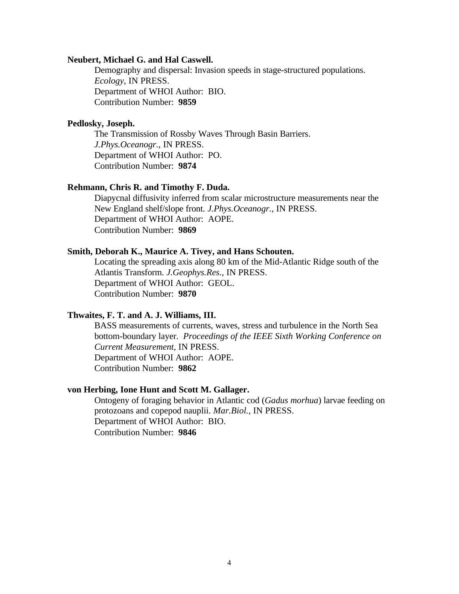#### **Neubert, Michael G. and Hal Caswell.**

Demography and dispersal: Invasion speeds in stage-structured populations. *Ecology*, IN PRESS. Department of WHOI Author: BIO. Contribution Number: **9859**

## **Pedlosky, Joseph.**

The Transmission of Rossby Waves Through Basin Barriers. *J.Phys.Oceanogr.*, IN PRESS. Department of WHOI Author: PO. Contribution Number: **9874**

## **Rehmann, Chris R. and Timothy F. Duda.**

Diapycnal diffusivity inferred from scalar microstructure measurements near the New England shelf/slope front. *J.Phys.Oceanogr.*, IN PRESS. Department of WHOI Author: AOPE. Contribution Number: **9869**

#### **Smith, Deborah K., Maurice A. Tivey, and Hans Schouten.**

Locating the spreading axis along 80 km of the Mid-Atlantic Ridge south of the Atlantis Transform. *J.Geophys.Res.*, IN PRESS. Department of WHOI Author: GEOL. Contribution Number: **9870**

#### **Thwaites, F. T. and A. J. Williams, III.**

BASS measurements of currents, waves, stress and turbulence in the North Sea bottom-boundary layer. *Proceedings of the IEEE Sixth Working Conference on Current Measurement*, IN PRESS. Department of WHOI Author: AOPE. Contribution Number: **9862**

## **von Herbing, Ione Hunt and Scott M. Gallager.**

Ontogeny of foraging behavior in Atlantic cod (*Gadus morhua*) larvae feeding on protozoans and copepod nauplii. *Mar.Biol.*, IN PRESS. Department of WHOI Author: BIO. Contribution Number: **9846**